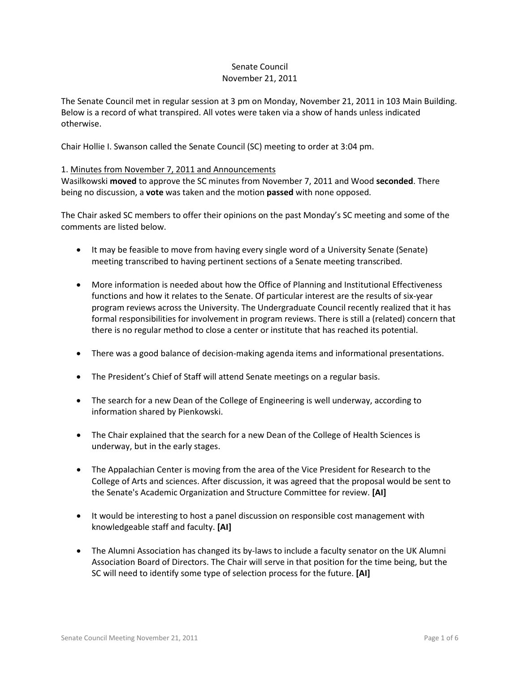### Senate Council November 21, 2011

The Senate Council met in regular session at 3 pm on Monday, November 21, 2011 in 103 Main Building. Below is a record of what transpired. All votes were taken via a show of hands unless indicated otherwise.

Chair Hollie I. Swanson called the Senate Council (SC) meeting to order at 3:04 pm.

### 1. Minutes from November 7, 2011 and Announcements

Wasilkowski **moved** to approve the SC minutes from November 7, 2011 and Wood **seconded**. There being no discussion, a **vote** was taken and the motion **passed** with none opposed.

The Chair asked SC members to offer their opinions on the past Monday's SC meeting and some of the comments are listed below.

- It may be feasible to move from having every single word of a University Senate (Senate) meeting transcribed to having pertinent sections of a Senate meeting transcribed.
- More information is needed about how the Office of Planning and Institutional Effectiveness functions and how it relates to the Senate. Of particular interest are the results of six-year program reviews across the University. The Undergraduate Council recently realized that it has formal responsibilities for involvement in program reviews. There is still a (related) concern that there is no regular method to close a center or institute that has reached its potential.
- There was a good balance of decision-making agenda items and informational presentations.
- The President's Chief of Staff will attend Senate meetings on a regular basis.
- The search for a new Dean of the College of Engineering is well underway, according to information shared by Pienkowski.
- The Chair explained that the search for a new Dean of the College of Health Sciences is underway, but in the early stages.
- The Appalachian Center is moving from the area of the Vice President for Research to the College of Arts and sciences. After discussion, it was agreed that the proposal would be sent to the Senate's Academic Organization and Structure Committee for review. **[AI]**
- It would be interesting to host a panel discussion on responsible cost management with knowledgeable staff and faculty. **[AI]**
- The Alumni Association has changed its by-laws to include a faculty senator on the UK Alumni Association Board of Directors. The Chair will serve in that position for the time being, but the SC will need to identify some type of selection process for the future. **[AI]**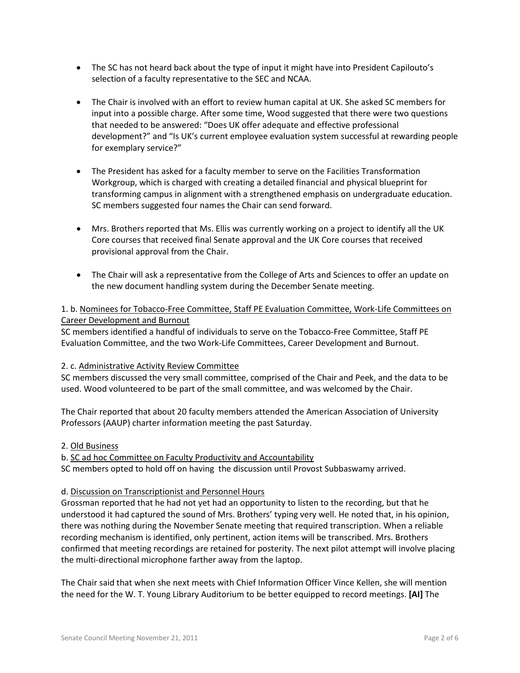- The SC has not heard back about the type of input it might have into President Capilouto's selection of a faculty representative to the SEC and NCAA.
- The Chair is involved with an effort to review human capital at UK. She asked SC members for input into a possible charge. After some time, Wood suggested that there were two questions that needed to be answered: "Does UK offer adequate and effective professional development?" and "Is UK's current employee evaluation system successful at rewarding people for exemplary service?"
- The President has asked for a faculty member to serve on the Facilities Transformation Workgroup, which is charged with creating a detailed financial and physical blueprint for transforming campus in alignment with a strengthened emphasis on undergraduate education. SC members suggested four names the Chair can send forward.
- Mrs. Brothers reported that Ms. Ellis was currently working on a project to identify all the UK Core courses that received final Senate approval and the UK Core courses that received provisional approval from the Chair.
- The Chair will ask a representative from the College of Arts and Sciences to offer an update on the new document handling system during the December Senate meeting.

## 1. b. Nominees for Tobacco-Free Committee, Staff PE Evaluation Committee, Work-Life Committees on Career Development and Burnout

SC members identified a handful of individuals to serve on the Tobacco-Free Committee, Staff PE Evaluation Committee, and the two Work-Life Committees, Career Development and Burnout.

# 2. c. Administrative Activity Review Committee

SC members discussed the very small committee, comprised of the Chair and Peek, and the data to be used. Wood volunteered to be part of the small committee, and was welcomed by the Chair.

The Chair reported that about 20 faculty members attended the American Association of University Professors (AAUP) charter information meeting the past Saturday.

## 2. Old Business

b. SC ad hoc Committee on Faculty Productivity and Accountability

SC members opted to hold off on having the discussion until Provost Subbaswamy arrived.

## d. Discussion on Transcriptionist and Personnel Hours

Grossman reported that he had not yet had an opportunity to listen to the recording, but that he understood it had captured the sound of Mrs. Brothers' typing very well. He noted that, in his opinion, there was nothing during the November Senate meeting that required transcription. When a reliable recording mechanism is identified, only pertinent, action items will be transcribed. Mrs. Brothers confirmed that meeting recordings are retained for posterity. The next pilot attempt will involve placing the multi-directional microphone farther away from the laptop.

The Chair said that when she next meets with Chief Information Officer Vince Kellen, she will mention the need for the W. T. Young Library Auditorium to be better equipped to record meetings. **[AI]** The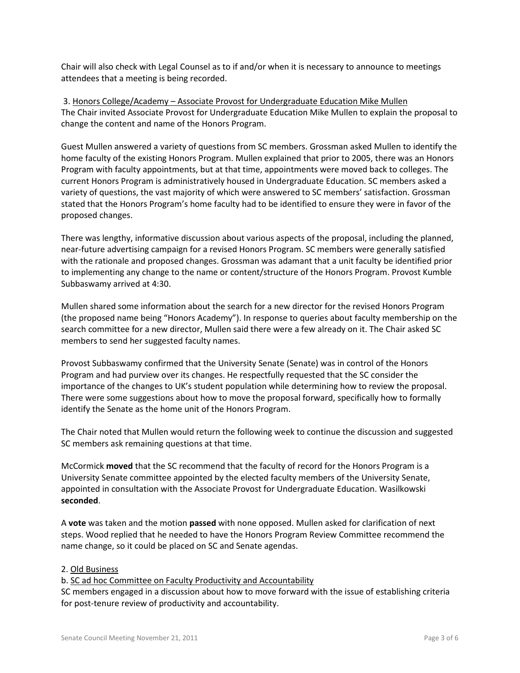Chair will also check with Legal Counsel as to if and/or when it is necessary to announce to meetings attendees that a meeting is being recorded.

3. Honors College/Academy – Associate Provost for Undergraduate Education Mike Mullen The Chair invited Associate Provost for Undergraduate Education Mike Mullen to explain the proposal to change the content and name of the Honors Program.

Guest Mullen answered a variety of questions from SC members. Grossman asked Mullen to identify the home faculty of the existing Honors Program. Mullen explained that prior to 2005, there was an Honors Program with faculty appointments, but at that time, appointments were moved back to colleges. The current Honors Program is administratively housed in Undergraduate Education. SC members asked a variety of questions, the vast majority of which were answered to SC members' satisfaction. Grossman stated that the Honors Program's home faculty had to be identified to ensure they were in favor of the proposed changes.

There was lengthy, informative discussion about various aspects of the proposal, including the planned, near-future advertising campaign for a revised Honors Program. SC members were generally satisfied with the rationale and proposed changes. Grossman was adamant that a unit faculty be identified prior to implementing any change to the name or content/structure of the Honors Program. Provost Kumble Subbaswamy arrived at 4:30.

Mullen shared some information about the search for a new director for the revised Honors Program (the proposed name being "Honors Academy"). In response to queries about faculty membership on the search committee for a new director, Mullen said there were a few already on it. The Chair asked SC members to send her suggested faculty names.

Provost Subbaswamy confirmed that the University Senate (Senate) was in control of the Honors Program and had purview over its changes. He respectfully requested that the SC consider the importance of the changes to UK's student population while determining how to review the proposal. There were some suggestions about how to move the proposal forward, specifically how to formally identify the Senate as the home unit of the Honors Program.

The Chair noted that Mullen would return the following week to continue the discussion and suggested SC members ask remaining questions at that time.

McCormick **moved** that the SC recommend that the faculty of record for the Honors Program is a University Senate committee appointed by the elected faculty members of the University Senate, appointed in consultation with the Associate Provost for Undergraduate Education. Wasilkowski **seconded**.

A **vote** was taken and the motion **passed** with none opposed. Mullen asked for clarification of next steps. Wood replied that he needed to have the Honors Program Review Committee recommend the name change, so it could be placed on SC and Senate agendas.

## 2. Old Business

b. SC ad hoc Committee on Faculty Productivity and Accountability

SC members engaged in a discussion about how to move forward with the issue of establishing criteria for post-tenure review of productivity and accountability.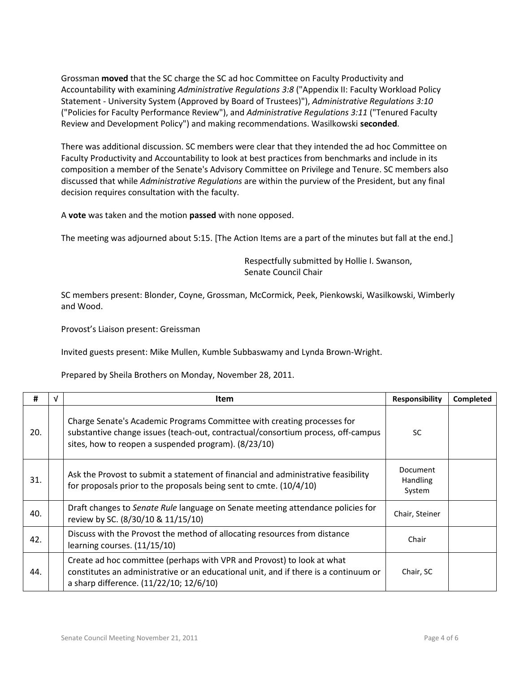Grossman **moved** that the SC charge the SC ad hoc Committee on Faculty Productivity and Accountability with examining *Administrative Regulations 3:8* ("Appendix II: Faculty Workload Policy Statement - University System (Approved by Board of Trustees)"), *Administrative Regulations 3:10* ("Policies for Faculty Performance Review"), and *Administrative Regulations 3:11* ("Tenured Faculty Review and Development Policy") and making recommendations. Wasilkowski **seconded**.

There was additional discussion. SC members were clear that they intended the ad hoc Committee on Faculty Productivity and Accountability to look at best practices from benchmarks and include in its composition a member of the Senate's Advisory Committee on Privilege and Tenure. SC members also discussed that while *Administrative Regulations* are within the purview of the President, but any final decision requires consultation with the faculty.

A **vote** was taken and the motion **passed** with none opposed.

The meeting was adjourned about 5:15. [The Action Items are a part of the minutes but fall at the end.]

Respectfully submitted by Hollie I. Swanson, Senate Council Chair

SC members present: Blonder, Coyne, Grossman, McCormick, Peek, Pienkowski, Wasilkowski, Wimberly and Wood.

Provost's Liaison present: Greissman

Invited guests present: Mike Mullen, Kumble Subbaswamy and Lynda Brown-Wright.

Prepared by Sheila Brothers on Monday, November 28, 2011.

| #   | <b>Item</b>                                                                                                                                                                                                         | <b>Responsibility</b>                 | <b>Completed</b> |
|-----|---------------------------------------------------------------------------------------------------------------------------------------------------------------------------------------------------------------------|---------------------------------------|------------------|
| 20. | Charge Senate's Academic Programs Committee with creating processes for<br>substantive change issues (teach-out, contractual/consortium process, off-campus<br>sites, how to reopen a suspended program). (8/23/10) | SC.                                   |                  |
| 31. | Ask the Provost to submit a statement of financial and administrative feasibility<br>for proposals prior to the proposals being sent to cmte. (10/4/10)                                                             | Document<br><b>Handling</b><br>System |                  |
| 40. | Draft changes to Senate Rule language on Senate meeting attendance policies for<br>review by SC. (8/30/10 & 11/15/10)                                                                                               | Chair, Steiner                        |                  |
| 42. | Discuss with the Provost the method of allocating resources from distance<br>learning courses. (11/15/10)                                                                                                           | Chair                                 |                  |
| 44. | Create ad hoc committee (perhaps with VPR and Provost) to look at what<br>constitutes an administrative or an educational unit, and if there is a continuum or<br>a sharp difference. (11/22/10; 12/6/10)           | Chair, SC                             |                  |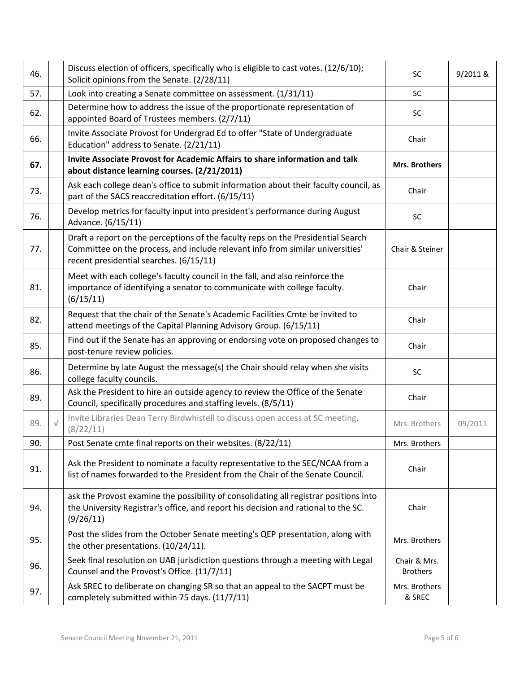| 46. |            | Discuss election of officers, specifically who is eligible to cast votes. (12/6/10);<br>Solicit opinions from the Senate. (2/28/11)                                                                           | SC                              | 9/2011 & |
|-----|------------|---------------------------------------------------------------------------------------------------------------------------------------------------------------------------------------------------------------|---------------------------------|----------|
| 57. |            | Look into creating a Senate committee on assessment. (1/31/11)                                                                                                                                                | SC                              |          |
| 62. |            | Determine how to address the issue of the proportionate representation of<br>appointed Board of Trustees members. (2/7/11)                                                                                    | SC                              |          |
| 66. |            | Invite Associate Provost for Undergrad Ed to offer "State of Undergraduate<br>Education" address to Senate. (2/21/11)                                                                                         | Chair                           |          |
| 67. |            | Invite Associate Provost for Academic Affairs to share information and talk<br>about distance learning courses. (2/21/2011)                                                                                   | <b>Mrs. Brothers</b>            |          |
| 73. |            | Ask each college dean's office to submit information about their faculty council, as<br>part of the SACS reaccreditation effort. (6/15/11)                                                                    | Chair                           |          |
| 76. |            | Develop metrics for faculty input into president's performance during August<br>Advance. (6/15/11)                                                                                                            | SC                              |          |
| 77. |            | Draft a report on the perceptions of the faculty reps on the Presidential Search<br>Committee on the process, and include relevant info from similar universities'<br>recent presidential searches. (6/15/11) | Chair & Steiner                 |          |
| 81. |            | Meet with each college's faculty council in the fall, and also reinforce the<br>importance of identifying a senator to communicate with college faculty.<br>(6/15/11)                                         | Chair                           |          |
| 82. |            | Request that the chair of the Senate's Academic Facilities Cmte be invited to<br>attend meetings of the Capital Planning Advisory Group. (6/15/11)                                                            | Chair                           |          |
| 85. |            | Find out if the Senate has an approving or endorsing vote on proposed changes to<br>post-tenure review policies.                                                                                              | Chair                           |          |
| 86. |            | Determine by late August the message(s) the Chair should relay when she visits<br>college faculty councils.                                                                                                   | SC                              |          |
| 89. |            | Ask the President to hire an outside agency to review the Office of the Senate<br>Council, specifically procedures and staffing levels. (8/5/11)                                                              | Chair                           |          |
| 89. | $\sqrt{ }$ | Invite Libraries Dean Terry Birdwhistell to discuss open access at SC meeting.<br>(8/22/11)                                                                                                                   | Mrs. Brothers                   | 09/2011  |
| 90. |            | Post Senate cmte final reports on their websites. (8/22/11)                                                                                                                                                   | Mrs. Brothers                   |          |
| 91. |            | Ask the President to nominate a faculty representative to the SEC/NCAA from a<br>list of names forwarded to the President from the Chair of the Senate Council.                                               | Chair                           |          |
| 94. |            | ask the Provost examine the possibility of consolidating all registrar positions into<br>the University Registrar's office, and report his decision and rational to the SC.<br>(9/26/11)                      | Chair                           |          |
| 95. |            | Post the slides from the October Senate meeting's QEP presentation, along with<br>the other presentations. (10/24/11).                                                                                        | Mrs. Brothers                   |          |
| 96. |            | Seek final resolution on UAB jurisdiction questions through a meeting with Legal<br>Counsel and the Provost's Office. (11/7/11)                                                                               | Chair & Mrs.<br><b>Brothers</b> |          |
| 97. |            | Ask SREC to deliberate on changing SR so that an appeal to the SACPT must be<br>completely submitted within 75 days. (11/7/11)                                                                                | Mrs. Brothers<br>& SREC         |          |